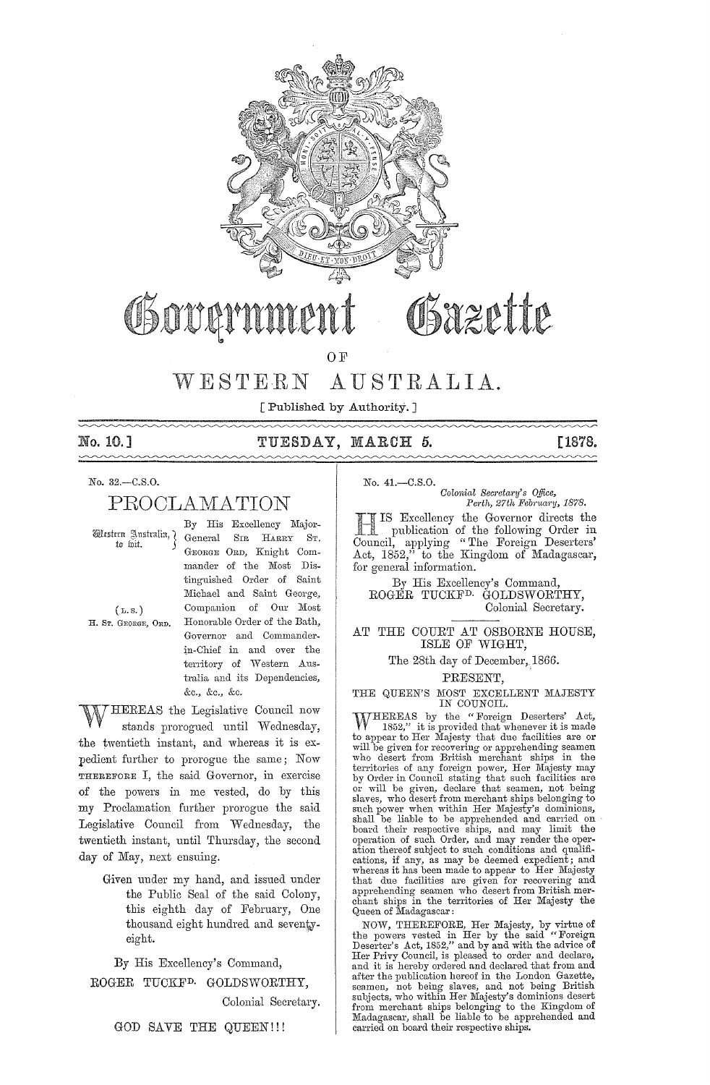

# Sazette OSNUA

OF

#### AUSTRALIA. WESTERN

[Published by Authority.]

#### No. 10.1  $\sim\sim\sim\sim$

# TUESDAY, MARCH 5.

**[1878.** 

# No. 32.-C.S.O.

PROCLAMATION

Western Australia, ) to fuit.

 $(L, S, )$ H. Sr. GEORGE, ORD. By His Excellency Major-General SIR HARRY ST. GEORGE ORD, Knight Commander of the Most Distinguished Order of Saint Michael and Saint George, Companion of Our Most Honorable Order of the Bath, Governor and Commanderin-Chief in and over the territory of Western Australia and its Dependencies, &c., &c., &c.

HEREAS the Legislative Council now stands prorogued until Wednesday, the twentieth instant, and whereas it is expedient further to prorogue the same; Now THEREFORE I, the said Governor, in exercise of the powers in me vested, do by this my Proclamation further prorogue the said Legislative Council from Wednesday, the twentieth instant, until Thursday, the second day of May, next ensuing.

> Given under my hand, and issued under the Public Seal of the said Colony, this eighth day of February, One thousand eight hundred and seventyeight.

By His Excellency's Command, ROGER TUCKF<sup>D.</sup> GOLDSWORTHY, Colonial Secretary.

GOD SAVE THE QUEEN!!!

 $No. 41 - C.S.O.$ 

Colonial Secretary's Office, Perth, 27th February, 1878.

IS Excellency the Governor directs the publication of the following Order in Council, applying "The Foreign Deserters' Act, 1852," to the Kingdom of Madagascar, for general information.

By His Excellency's Command, ROGER TUCKF<sup>D.</sup> GOLDSWORTHY, Colonial Secretary.

#### AT THE COURT AT OSBORNE HOUSE, ISLE OF WIGHT,

The 28th day of December, 1866.

PRESENT,

#### THE QUEEN'S MOST EXCELLENT MAJESTY IN COUNCIL.

WHEREAS by the "Foreign Deserters' Act,<br>
1852," it is provided that whenever it is made to appear to Her Majesty that due facilities are or to appear to Her majesty that due haddling sea or<br>will be given for recovering or apprehending seamen<br>who desert from British merchant ships in the<br>territories of any foreign power, Her Majesty may<br>by Order in Council stat such power when within Her Majesty's dominions, stable be lable to be apprehended and carried on<br>board their respective ships, and may limit the<br>operation of such Order, and may render the operation<br>thereof subject to such conditions and qualifiations, if any, as may be deemed expedient; and<br>whereas it has been made to appear to Her Majesty<br>whereas it has been made to appear to Her Majesty<br>that due facilities are given for recovering and<br>apprehending seamen who d Queen of Madagascar:

NOW, THEREFORE, Her Majesty, by virtue of<br>the powers vested in Her by the said "Foreign<br>Deserter's Act, 1852," and by and with the advice of<br>Her Privy Council, is pleased to order and declare,<br>and it is hereby ordered and after the publication hereof in the London Gazette, are the punctual neuron in the Domain Canada and and being British<br>subjects, who within Her Majesty's dominions desert<br>from merchant ships belonging to the Kingdom of<br>Madagascar, shall be liable to be apprehended and carried on board their respective ships.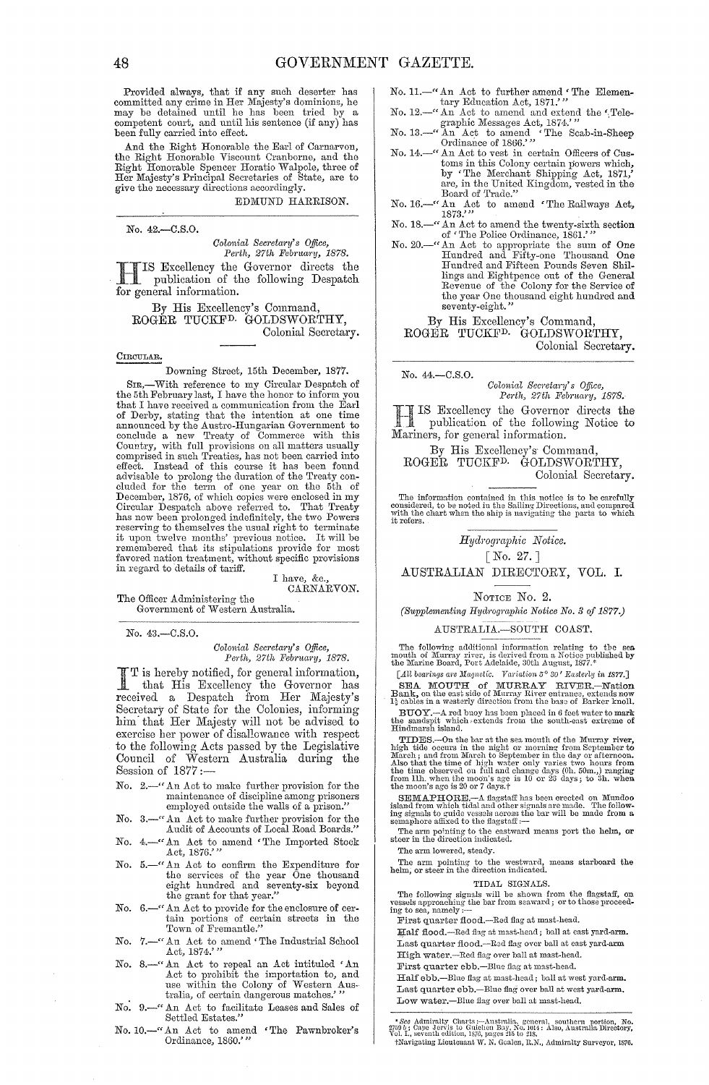Provided always, that if any such deserter has committed any crime in Her Majesty's dominions, he may be detained until he has been tried by a competent court, and until his sentence (if any) has been fully carried into effect.

And the Right Honorable the Earl of Carnarvon, the Right Honorable Viscount Cranborne, and the Right Honorable Spencer Horatio Walpole, three of Her Majesty's Principal Secretaries of State, are to give the necessary directions accordingly.

EDMUND HARRISON.

No. 42.-C.S.0.

*Colonial Secretary's Office,* 

*Perth, 27th February, 1878.*<br> **IS Excellency the Governor** directs the HIS Excellency the Governor directs the publication of the following Despatch for general information.

By His Excellency's Command, ROGER TUCKFD. GOLDSWORTHY, Colonial Secretary.

#### CIRCULAR.

Downing Street, 15th December, 1877.

Sm,-With reference to my Circular Despatch of the 5th February last, I have the honor to inform you that I have received a communication from the Earl of Derby, stating that the intention at one time announced by the Austro-Hungarian Government to conclude a now Treaty of Commerce with this Country, with full provisions on all matters usually comprised in such Treaties, has not been carried into effect. Instead of this course it has been found<br>advisable to prolong the duration of the Treaty con-<br>cluded for the term of one year on the 5th of<br>December, 1876, of which copies were enclosed in my<br>Circular Despatch abov reserving to themselves the usual right to terminate<br>it upon twelve months' previous notice. It will be<br>remembered that its stipulations provide for most<br>favored nation treatment, without specific provisions<br>in regard to d

I have, &c., CARNARVON.

The Officer Administering the Government of Western Australia.

No. 43.-C.S.0.

#### $Colonial$  Secretary's Office, *Perth, 27th February, 1878.*

I T is hereby notified, for general information,<br>that His Excellency the Governor has received a Despatch from Her Majesty's Secretary of State for the Colonies, informing him' that Her Majesty will not be advised to exercise her power of disallowance with respect to the following Acts passed by the Legislative Council of Western Australia during the Session of 1877;-

- No. 2.—"An Act to make further provision for the maintenance of discipline among prisoners employed outside the walls of a prison."
- No. 3.—" An Act to make further provision for the Audit of Accounts of Local Road Boards."
- No. 4.—" An Act to amend 'The Imported Stock Act, 1876."
- No. 5.—" An Act to confirm the Expenditure for<br>the services of the year One thousand<br>eight hundred and seventy-six beyond<br>the grant for that year."
- No. 6.—" An Act to provide for the enclosure of certain portions of certain streets in the Town of Fremantle."
- No. 7.—" An Act to amend 'The Industrial School Act, 1874.''
- No. 8.—" An Act to repeal an Act intituled 'An Act to prohibit the importation to, and use within the Colony of Western Australia, of certain dangerous matches.''
- No. 9.-" An Act to facilitate Leases and Sales of Settled Estates."
- No. 10.-" An Act to amend 'The Pawnbroker's Ordinance, 1860:"
- No. 11.-" An Act to further amend 'The Elementary Education Act, 1871.'
- No. 12.-" An Act to amend and extend the'Tele-
- graphic Messages Act, 1874.''<br>No. 13.—" An Act to amend 'The Scab-in-Sheep<br>Ordinance of 1866.''<br>No. 14.—" An Act to vest in certain Officers of Cus-
- toms in this Colony certain powers which, by 'The Merchant Shipping Act, 1871,' are, in the United Kingdom, vested in the Board of Trade."
- No. 16.-" An Act to amend 'The Railways Act, 1873.'''
- No. 18.<sup>-----</sup> An Act to amend the twenty-sixth section of 'The Police Ordinance, 1861.''
- No. 20.-" An Act to appropriate the sum of One Hundred and Fifty-one Thousand One Hundred and Fifteen Pounds Seven Shillings and Eightpence out of the General Revenue of the Colony for the Service of the year One thousand eight hundred and seventy-eight."

By His Excellency's Command, ROGER TUCKFD. GOLDSWORTHY, Colonial Secretary.

No. 44.-C.S.O.

*Colonial Secretary's Office,*<br>Perth, 27th February, 1878.

*Perth, 27th February, 1878.*<br> **IS Excellency the Governor directs the** I IS Excellency the Governor<br>publication of the followin<br>Mariners, for general information. 1. pnblication of the following Notice to

By His Excellency's Command, ROGER TUCKFD. GOLDSWORTHY, Colonial Secretary.

The information contained in this notice is to be carefully considered, to be noted in the Sailing Directions, and compared with the chart when the ship is navigating the parts to which it refers.

 $Hydrographic$  *Notice.* 

[No. 27. ]

AUSTRALIAN DIRECTORY, VOL. I.

#### NOTICE No. 2.

*(Supplementing Hydl'og)'aphie Notice No.* 3 *of 1877.)* 

#### AUS'rRALIA.-SOUTH COAST.

The following additional information relating to the sea mouth of Murray river, is derived from a Notice published by the Marine Board, Port Adelaide, 30th August, 1877.\*

*[An bearin.gs a're Magnetic. Variation* 5° *30' Eastcily in* 1877.J

SEA MOUTH of MURRAY RIVER.-Nation Bank, on the east side of Murray River entrance, extends now 1: cables in a westerly direction from the base of Barker knoll. BUOY.<sup>--A</sup> red buoy has been placed in 6 feet water to mark the sandspit which , extends from the south-east extreme of Hindmarsh island.

TIDES.—On the bar at the sea mouth of the Murray river, high tide occurs in the night or morning from Scptember to March is and from March to September in the day or atternoon. Also that the time of high water only varies

SEMAPHORE.--A flagstaff has been erected on Mundoo island from which tidal and other signals are made. The following signals to guide vessels across the bar will be made from a semaphore affixed to the flagstaff $\cdots$ 

The arm pointing to the eastward means port the helm, or steer in the direction indicated.

The arm lowered, steady.

The arm pointing to the westward, means starboard the helm, or steer in the direction indicated..

#### TIDAL SIGNALS.

The following signals will be shown from the flagstaff, on vessels approaching the bar from seaward; or to those proceed-<br>ing to sea, namely :---

First quarter flood.-Red flag at mast-head.

Half flood.-Red flag at mast-head; ball at east yard-arm. Last quarter flood.-Red flag over ball at east yard-arm

High water.-Red flag over ball at mast-head.

First quarter ebb.-Blue flag at mast-head.

Half ebb.--Blue flag at mast-head; ball at west yard-arm. Last quarter ebb.-Blue flag over ball at west yard-arm. Low water.-Blue flag over ball at mast-head.

# \* *See* Admiralty Charts :--Australia, general, southern portion, No.<br>2750 b; Cape Jervis to Guichen Bay, No. 1014 : Also, Australia Directory,<br>Vol. I., seventh edition, 1876, pages 215 to 218. 'tNavigatiug Lieutenant *1V.* N. GonIon, It.N., Admiralty Surveyor. 1876.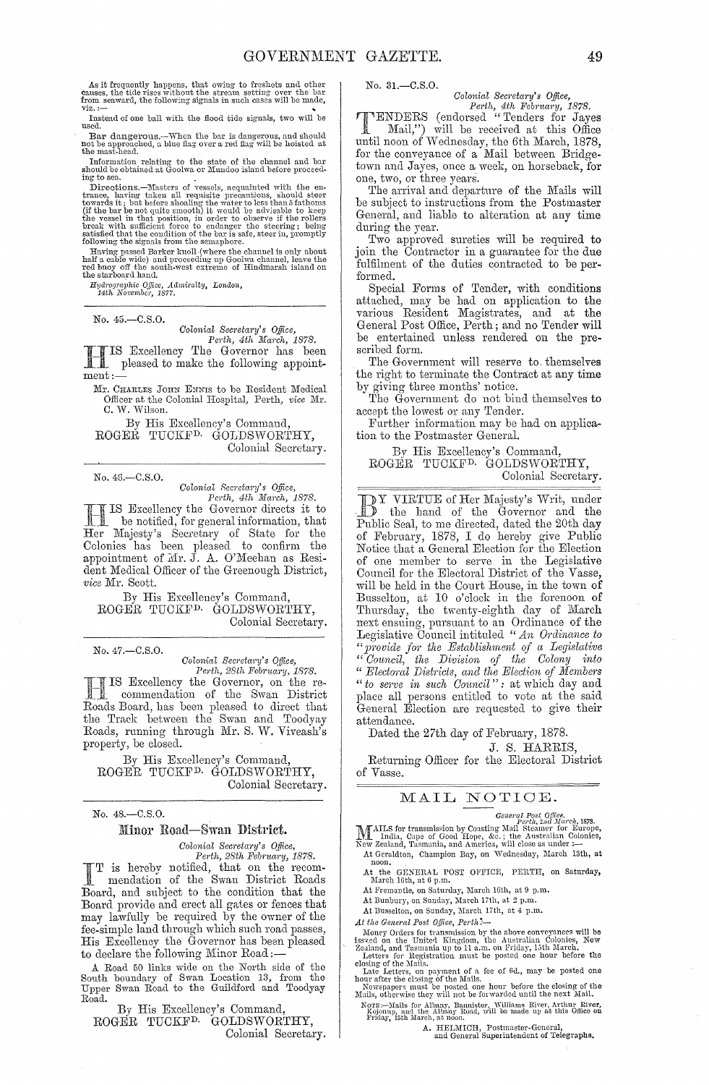As it frequently happens, that owing to freshets and other causes, the tide rises without the stream setting over the bar from seaward, the following signals in such cases will be made, viz.:-

Instead of one ball with the flood tide signals, two will be nsed.

Bar dangerous.--When the bar is dangerous, and should not be approached, a blue flag over a red flag will be hoisted at the mast-head.

Information relating to the state of the channel and bar should be obtained at Goolwa or Mundoo island before proceed-<br>ing to sea.

Directions.—Masters of vessels, acquainted with the entrance, having taken all requisite precautions, should steer towards it, that before shoaling the water to less than 5 fathoms (if the bar be not quite smooth) it woul

*Hydrographic Office, Admiralty, London,*<br>14th November, 1877.

No. 45.-C.S.O.

*Colonial Secretary's Office, Perth, 4th March, 1878.* 

I IS Excellency The Governor has been pleased to make the following appointment:

Mr. CHARLES JOHN ENNIS to be Resident Medical Officer at the Colonial Hospital, Perth, *vice* Mr. C. W. Wilson.

By His Excellency's Command,

ROGER TUCKF<sup>D.</sup> GOLDSWORTHY, Colonial Secretary.

No. 46.-C.S.O.

*Colonial Secretary's Office,*<br>Perth, 4th March, 1878.

IS Excellency the Governor directs it to be notified, for general information, that Her Majesty's Secretary of State for the Colonies has been pleased to confirm the appointment of  $Mr.$  J. A. O'Meehan as Resident Medical Officer of the Greenough District, *vice* Mr. Scott.

By His Excellency's Command, ROGER TUCKFD. GOLDSWORTHY, Colonial Secretary.

No. 47 .- C.S.O.

*Colonial Sec?'eta1'Y's Qffice, Perth, 28th Febnw1'Y, 1878.* 

Excellency the Governor, on the recommendation of the Swan District Roads Board, has been pleased to direct that the Track between the Swan and Toodyay Roads, running through Mr. S. W. Viveash's property, be closed.

By His Excellency's Command, ROGER TUCKFD. GOIJDSWORTHY, Colonial Secretary.

No. 48.-C.S.0.

#### Minor Road—Swan District.

*Colonial Secretary's Office,*<br> *Perth, 28th February, 1878.*<br> **I** is hereby notified, that on the recom-<br>
mendation of the Swan District Roads mendation of the Swan District Roads Board, and subject to the condition that the Board provide and erect all gates or fences that may lawfully be required by the owner of the fee-simple land through which such road passes, His Excellency the Governor has been pleased to declare the following Minor Road:-

A Road 50 links wide on the North side of the South boundary of Swan Location 13, from the Upper Swan Road to the Guildford and Toodyay Road.

By His Excellency's Command, ROGER TUCKFD. GOLDSWORTHY, Colonial Secretary. No. 31.-C.S.O.

# *Colonial Secretary's Office,*<br> *Perth, 4th February, 1878.*

TENDERS (endorsed "Tenders for Jayes Mail,") will be received at this Office until noon of Wednesday, the 6th March, 1878, for the conveyance of a Mail between Bridgetown and Jayes, once a week, on horseback, for one, two, or three years.

The arrival and departure of the Mails will be subject to instructions from the Postmaster General, and liable to alteration at any time during the year.

Two approved sureties will be required to join the Contractor in a guarantee for the due fulfilment of the duties contracted to be performed.

Special Forms of Tender, with conditions attached, may be had on application to the various Resident Magistrates, and at the General Post Office, Perth; and no Tender will be entertained unless rendered on the prescribed form.

The Government will reserve to. themselves the right to terminate the Contract at any time by giving three months' notice.

The Government do not bind themselves to accept the lowest or any Tender.

Further information may be had on application to the Postmaster General.

By His Excellency's Command, ROGER TDCKFD. GOLDSWORTHY, Colonial Secretary.

10 Y VIRTUE of Her Jl.lajesty's Writ, nnder DY VIETUE or reer mages of the Governor and the Public Seal, to me directed, dated the 20th day of February, 1878, I do hereby give Public Notice that a General Election for the Election of one member to serve in the Legislative Council for the Electoral District of the Vasse, will be held in the Court House, in the town of Busselton, at 10 o'clock in the forenoon of Thursday, the twenty-eighth day of March next ensuing, pursuant to an Ordinance of the Legislative Council intituled "An Ordinance to " provide for the Establishment of a Legislative *"Omtncil, the Division of the Oolony into*  <sup>"</sup> Electoral Districts, and the Election of Members *"to serve in such Ommcil":* at which day and place all persons entitled to vote at the said General Election are requested to give their attendance.

Dated the 27th day of February, 1878.

J. S. HARRIS,

Returning Officer for the Electoral District of Vasse.

# MAIL NOTICE.

General Post Office,<br>Perth, 2nd March, 1878.

MAILS for transmission by Coasting Mail Steamer for Europe, ...<br>New Zealand, Cape of Good Hope, &c.; the Australian Colonies,<br>New Zealand, Tasmania, and America, will close as under :---At Geraldton, Champion Bay, on Wednesday, March 13th, at noon.

At the GENERAL POST OFFICE, PERTH, on Saturday, March 16th, at 6 p.m.

At Fremantle, on Saturday, March 16th, at 9 p.m.

At Bunbury, on Sunday, March 17th, at 2 p.m.

At Busselton, on Sunday, March 17th, at 4 p.m.

*At* t.lw *General Post Oilice, Perth:-*

Money Orders for transmission by the above conveyances will be isseed on the United Kingdom, the Australian Colonies, New Zealand, and Tasmania up to 11 a.m. on Friday, 15th March.<br>Letters for Registration must be posted o

closing of the Mails.<br>Late Letters, on payment of a fee of 6d., may be posted one<br>hour after the closing of the Mails.<br>Newspapers must be posted one hour before the closing of the<br>Mails, otherwise they will not be forwarde

Nore:--Mails for Albany, Bannister, Williams River, Arthur Rive**r,**<br>Kojonup, and the Albany Road, will be made up at this Office o**n**<br>Friday, 15th March, at noon.

A. HELMICH, Postmaster-General, and General Superintendent of Telegraphs.